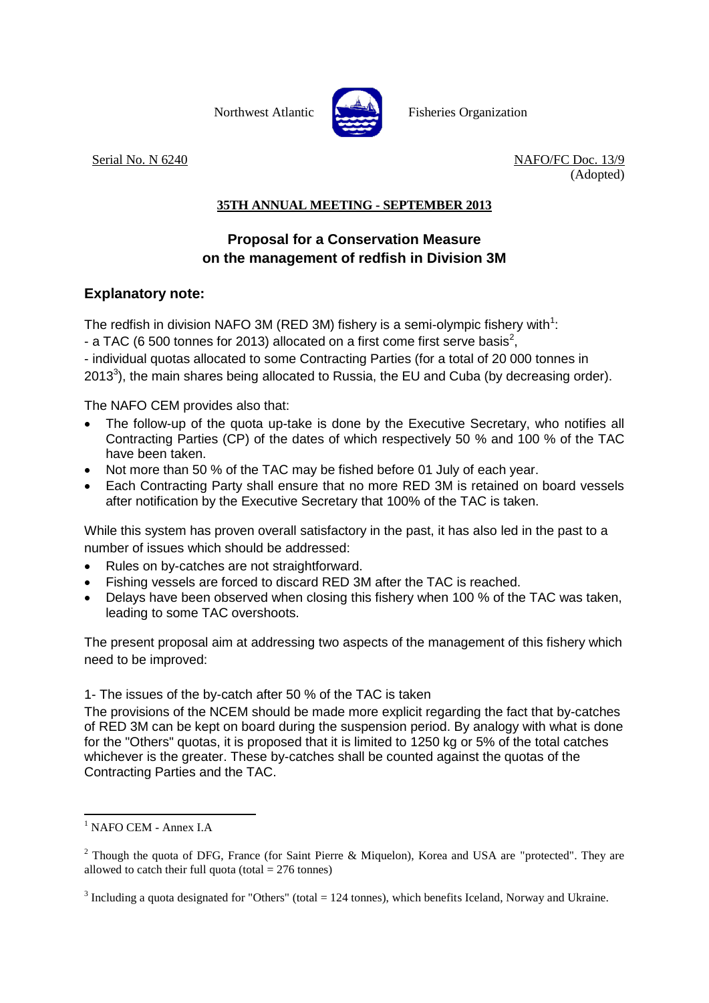

Northwest Atlantic **No. 2008** Fisheries Organization

Serial No. N 6240 NAFO/FC Doc. 13/9 (Adopted)

## **35TH ANNUAL MEETING - SEPTEMBER 2013**

## **Proposal for a Conservation Measure on the management of redfish in Division 3M**

## **Explanatory note:**

The redfish in division NAFO 3M (RED 3M) fishery is a semi-olympic fishery with<sup>1</sup>:

- a TAC (6 500 tonnes for 2013) allocated on a first come first serve basis<sup>2</sup>,

- individual quotas allocated to some Contracting Parties (for a total of 20 000 tonnes in 2013<sup>3</sup>), the main shares being allocated to Russia, the EU and Cuba (by decreasing order).

The NAFO CEM provides also that:

- The follow-up of the quota up-take is done by the Executive Secretary, who notifies all Contracting Parties (CP) of the dates of which respectively 50 % and 100 % of the TAC have been taken.
- Not more than 50 % of the TAC may be fished before 01 July of each year.
- Each Contracting Party shall ensure that no more RED 3M is retained on board vessels after notification by the Executive Secretary that 100% of the TAC is taken.

While this system has proven overall satisfactory in the past, it has also led in the past to a number of issues which should be addressed:

- Rules on by-catches are not straightforward.
- Fishing vessels are forced to discard RED 3M after the TAC is reached.
- Delays have been observed when closing this fishery when 100 % of the TAC was taken, leading to some TAC overshoots.

The present proposal aim at addressing two aspects of the management of this fishery which need to be improved:

1- The issues of the by-catch after 50 % of the TAC is taken

The provisions of the NCEM should be made more explicit regarding the fact that by-catches of RED 3M can be kept on board during the suspension period. By analogy with what is done for the "Others" quotas, it is proposed that it is limited to 1250 kg or 5% of the total catches whichever is the greater. These by-catches shall be counted against the quotas of the Contracting Parties and the TAC.

**.** 

<sup>&</sup>lt;sup>1</sup> NAFO CEM - Annex I.A

<sup>&</sup>lt;sup>2</sup> Though the quota of DFG, France (for Saint Pierre & Miquelon), Korea and USA are "protected". They are allowed to catch their full quota (total  $= 276$  tonnes)

 $3$  Including a quota designated for "Others" (total = 124 tonnes), which benefits Iceland, Norway and Ukraine.